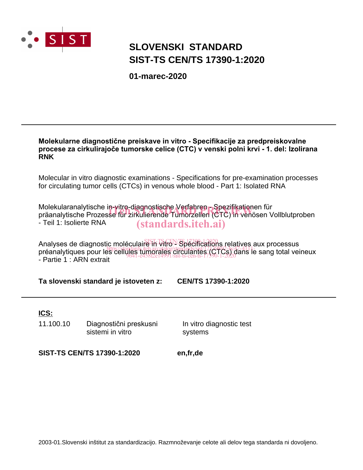

# **SLOVENSKI STANDARD SIST-TS CEN/TS 17390-1:2020**

**01-marec-2020**

#### **Molekularne diagnostične preiskave in vitro - Specifikacije za predpreiskovalne procese za cirkulirajoče tumorske celice (CTC) v venski polni krvi - 1. del: Izolirana RNK**

Molecular in vitro diagnostic examinations - Specifications for pre-examination processes for circulating tumor cells (CTCs) in venous whole blood - Part 1: Isolated RNA

Molekularanalytische in-vitro-diagnostische Verfahren - Spezifikationen für Molekularanalytische in-vitro-diagnostische Verfahren – Spezifikationen für<br>präanalytische Prozesse für zirkulierende Tumorzellen (CTC) in venösen Vollblutproben - Teil 1: Isolierte RNA (standards.iteh.ai)

Analyses de diagnostic moléculaire i<del>n Vitro - Spécification</del>s relatives aux processus https://www.catalogue.org/www.catalogue.org/sist/12139892-bc47-41212-bc20000-000-<br>préanalytiques pour les cellules tumorales circulantes (CTCs) dans le sang total veineux - Partie 1 : ARN extrait 9641-e458f2e14991/sist-ts-cen-ts-17390-1-2020

**Ta slovenski standard je istoveten z: CEN/TS 17390-1:2020**

#### **ICS:**

11.100.10 Diagnostični preskusni sistemi in vitro

In vitro diagnostic test systems

**SIST-TS CEN/TS 17390-1:2020 en,fr,de**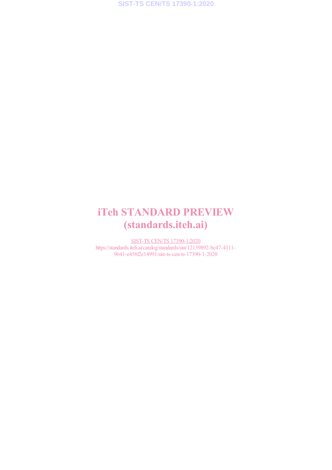# iTeh STANDARD PREVIEW (standards.iteh.ai)

SIST-TS CEN/TS 17390-1:2020 https://standards.iteh.ai/catalog/standards/sist/12139892-bc47-4111- 9641-e458f2e14991/sist-ts-cen-ts-17390-1-2020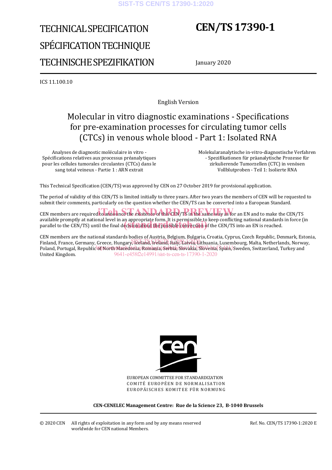#### **SIST-TS CEN/TS 17390-1:2020**

# TECHNICAL SPECIFICATION SPÉCIFICATION TECHNIQUE TECHNISCHE SPEZIFIKATION

# **CEN/TS 17390-1**

January 2020

ICS 11.100.10

English Version

# Molecular in vitro diagnostic examinations - Specifications for pre-examination processes for circulating tumor cells (CTCs) in venous whole blood - Part 1: Isolated RNA

Analyses de diagnostic moléculaire in vitro - Spécifications relatives aux processus préanalytiques pour les cellules tumorales circulantes (CTCs) dans le sang total veineux - Partie 1 : ARN extrait

 Molekularanalytische in-vitro-diagnostische Verfahren - Spezifikationen für präanalytische Prozesse für zirkulierende Tumorzellen (CTC) in venösen Vollblutproben - Teil 1: Isolierte RNA

This Technical Specification (CEN/TS) was approved by CEN on 27 October 2019 for provisional application.

The period of validity of this CEN/TS is limited initially to three years. After two years the members of CEN will be requested to submit their comments, particularly on the question whether the CEN/TS can be converted into a European Standard.

CEN members are required to announce the existence of this CEN/TS in the same way as for an EN and to make the CEN/TS available promptly at national level in an appropriate form. It is permissible to keep conflicting national standards in force (in available promptly at national level in an appropriate form. It is permissible to keep conflicting national standards<br>parallel to the CEN/TS) until the final decision about the possible conversion of the CEN/TS into an EN

CEN members are the national standards bodies of Austria, Belgium, Bulgaria, Croatia, Cyprus, Czech Republic, Denmark, Estonia, University of the including sumula as softigs of the angle of the magnitude of product by prastic mepastic, seminarity issue.<br>Finland, France, Germany, Greece, Hungary, Iceland, Treland, Italy, Latvia, Lithuania, Luxembour Poland, Portugal, Republic öt Nórth Macedónia, Romanía, Serbia, Slovakia, Slovenia, Spain, Sweden, Switzerland, Turkey and United Kingdom. 9641-e458f2e14991/sist-ts-cen-ts-17390-1-2020



EUROPEAN COMMITTEE FOR STANDARDIZATION COMITÉ EUROPÉEN DE NORMALISATION EUROPÄISCHES KOMITEE FÜR NORMUNG

**CEN-CENELEC Management Centre: Rue de la Science 23, B-1040 Brussels** 

Ref. No. CEN/TS 17390-1:2020 E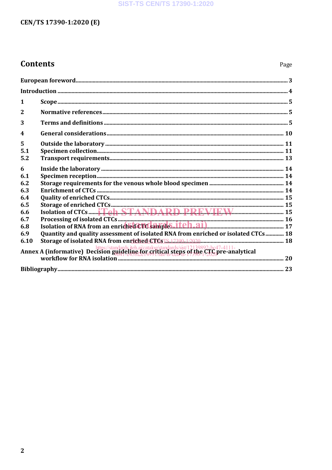### **SIST-TS CEN/TS 17390-1:2020**

# CEN/TS 17390-1:2020 (E)

# **Contents**

| 1                |                                                                                   |  |
|------------------|-----------------------------------------------------------------------------------|--|
| $\mathbf{2}$     |                                                                                   |  |
| 3                |                                                                                   |  |
| $\boldsymbol{4}$ |                                                                                   |  |
| 5                |                                                                                   |  |
| 5.1              |                                                                                   |  |
| 5.2              |                                                                                   |  |
| 6                |                                                                                   |  |
| 6.1              |                                                                                   |  |
| 6.2              |                                                                                   |  |
| 6.3              |                                                                                   |  |
| 6.4              |                                                                                   |  |
| 6.5              |                                                                                   |  |
| 6.6              |                                                                                   |  |
| 6.7              |                                                                                   |  |
| 6.8              |                                                                                   |  |
| 6.9              | Quantity and quality assessment of isolated RNA from enriched or isolated CTCs 18 |  |
| 6.10             |                                                                                   |  |
|                  |                                                                                   |  |
|                  |                                                                                   |  |
|                  |                                                                                   |  |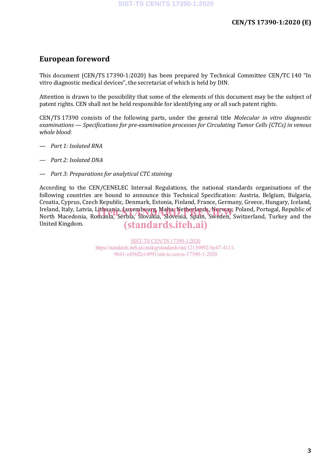# **European foreword**

This document (CEN/TS 17390-1:2020) has been prepared by Technical Committee CEN/TC 140 "In vitro diagnostic medical devices", the secretariat of which is held by DIN.

Attention is drawn to the possibility that some of the elements of this document may be the subject of patent rights. CEN shall not be held responsible for identifying any or all such patent rights.

CEN/TS 17390 consists of the following parts, under the general title *Molecular in vitro diagnostic examinations — Specifications for pre-examination processes for Circulating Tumor Cells (CTCs) in venous whole blood*:

- *Part 1: Isolated RNA*
- *Part 2: Isolated DNA*
- *Part 3: Preparations for analytical CTC staining*

According to the CEN/CENELEC Internal Regulations, the national standards organisations of the following countries are bound to announce this Technical Specification: Austria, Belgium, Bulgaria, Croatia, Cyprus, Czech Republic, Denmark, Estonia, Finland, France, Germany, Greece, Hungary, Iceland, Ireland, Italy, Latvia, Lithuania, Luxembourg, Malta, Netherlands, Norway, Poland, Portugal, Republic of Ireland, Italy, Latvia, Lithuania, Luxembourg, Malta, Netherlands, Norway, Poland, Portugal, Republic of<br>North Macedonia, Romania, Serbia, Slovakia, Slovenia, Spain, Sweden, Switzerland, Turkey and the United Kingdom. (standards.iteh.ai)

> SIST-TS CEN/TS 17390-1:2020 https://standards.iteh.ai/catalog/standards/sist/12139892-bc47-4111- 9641-e458f2e14991/sist-ts-cen-ts-17390-1-2020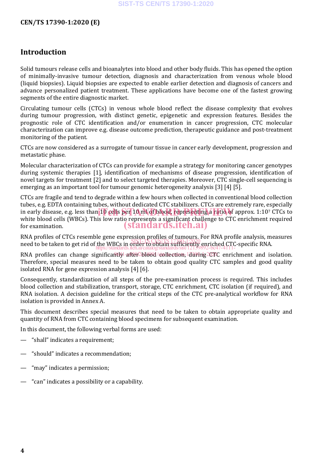#### **CEN/TS 17390-1:2020 (E)**

### **Introduction**

Solid tumours release cells and bioanalytes into blood and other body fluids. This has opened the option of minimally-invasive tumour detection, diagnosis and characterization from venous whole blood (liquid biopsies). Liquid biopsies are expected to enable earlier detection and diagnosis of cancers and advance personalized patient treatment. These applications have become one of the fastest growing segments of the entire diagnostic market.

Circulating tumour cells (CTCs) in venous whole blood reflect the disease complexity that evolves during tumour progression, with distinct genetic, epigenetic and expression features. Besides the prognostic role of CTC identification and/or enumeration in cancer progression, CTC molecular characterization can improve e.g. disease outcome prediction, therapeutic guidance and post-treatment monitoring of the patient.

CTCs are now considered as a surrogate of tumour tissue in cancer early development, progression and metastatic phase.

Molecular characterization of CTCs can provide for example a strategy for monitoring cancer genotypes during systemic therapies [1], identification of mechanisms of disease progression, identification of novel targets for treatment [2] and to select targeted therapies. Moreover, CTC single-cell sequencing is emerging as an important tool for tumour genomic heterogeneity analysis [3] [4] [5].

CTCs are fragile and tend to degrade within a few hours when collected in conventional blood collection tubes, e.g. EDTA containing tubes, without dedicated CTC stabilizers. CTCs are extremely rare, especially in early disease, e.g. less than 10 cells per 10 ml of blood, representing a ratio of approx. 1:10<sup>7</sup> CTCs to white blood alle (MDCs). This low ustice approximate a similar proviewed to a control of the state of the state white blood cells (WBCs). This low ratio represents a significant challenge to CTC enrichment required for examination. (standards.iteh.ai)

RNA profiles of CTCs resemble gene expression profiles of tumours. For RNA profile analysis, measures need to be taken to get rid of the WBCs in order to obtain sufficiently enriched CTC-specific RNA.<br>https://standard.net/atalogstandard.net/surface/standard.net/2007-bc47-4111-SIST-TS CEN/TS 17390-1:2020 https://standards.iteh.ai/catalog/standards/sist/12139892-bc47-4111-

RNA profiles can change significantly after blood/collection, during 20TC enrichment and isolation. Therefore, special measures need to be taken to obtain good quality CTC samples and good quality isolated RNA for gene expression analysis [4] [6].

Consequently, standardization of all steps of the pre-examination process is required. This includes blood collection and stabilization, transport, storage, CTC enrichment, CTC isolation (if required), and RNA isolation. A decision guideline for the critical steps of the CTC pre-analytical workflow for RNA isolation is provided in Annex A.

This document describes special measures that need to be taken to obtain appropriate quality and quantity of RNA from CTC containing blood specimens for subsequent examination.

In this document, the following verbal forms are used:

- "shall" indicates a requirement;
- "should" indicates a recommendation;
- "may" indicates a permission;
- "can" indicates a possibility or a capability.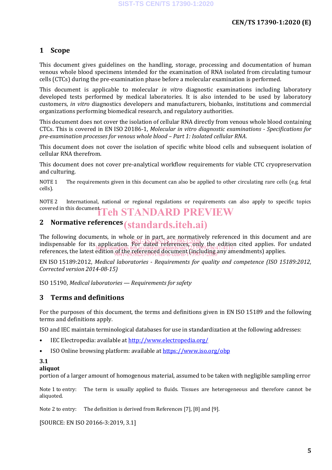### **1 Scope**

This document gives guidelines on the handling, storage, processing and documentation of human venous whole blood specimens intended for the examination of RNA isolated from circulating tumour cells (CTCs) during the pre-examination phase before a molecular examination is performed.

This document is applicable to molecular *in vitro* diagnostic examinations including laboratory developed tests performed by medical laboratories. It is also intended to be used by laboratory customers, *in vitro* diagnostics developers and manufacturers, biobanks, institutions and commercial organizations performing biomedical research, and regulatory authorities.

This document does not cover the isolation of cellular RNA directly from venous whole blood containing CTCs. This is covered in EN ISO 20186-1, *Molecular in vitro diagnostic examinations - Specifications for pre-examination processes for venous whole blood – Part 1: Isolated cellular RNA*.

This document does not cover the isolation of specific white blood cells and subsequent isolation of cellular RNA therefrom.

This document does not cover pre-analytical workflow requirements for viable CTC cryopreservation and culturing.

NOTE 1 The requirements given in this document can also be applied to other circulating rare cells (e.g. fetal cells).

NOTE 2 International, national or regional regulations or requirements can also apply to specific topics covered in this document. Teh STANDARD PREVIEW

# **2 Normative references** (standards.iteh.ai)

The following documents, in whole or in part, are normatively referenced in this document and are indispensable for its application. For dated references, only the edition cited applies. For undated references, the latest edition of the referenced document (including any amendments) applies. SIST-TS CEN/TS 17390-1:2020 https://standards.iteh.ai/catalog/standards/sist/12139892-bc47-4111- 9641-e458f2e14991/sist-ts-cen-ts-17390-1-2020

EN ISO 15189:2012, *Medical laboratories - Requirements for quality and competence (ISO 15189:2012, Corrected version 2014-08-15)*

ISO 15190, *Medical laboratories — Requirements for safety*

### **3 Terms and definitions**

For the purposes of this document, the terms and definitions given in EN ISO 15189 and the following terms and definitions apply.

ISO and IEC maintain terminological databases for use in standardization at the following addresses:

- IEC Electropedia: available at http://www.electropedia.org/
- ISO Online browsing platform: available at https://www.iso.org/obp

#### **3.1**

**aliquot**

portion of a larger amount of homogenous material, assumed to be taken with negligible sampling error

Note 1 to entry: The term is usually applied to fluids. Tissues are heterogeneous and therefore cannot be aliquoted.

Note 2 to entry: The definition is derived from References [7], [8] and [9].

[SOURCE: EN ISO 20166-3:2019, 3.1]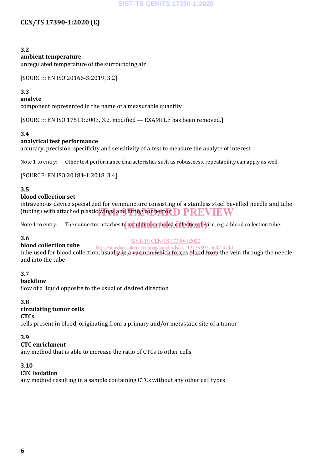### **CEN/TS 17390-1:2020 (E)**

#### **3.2**

#### **ambient temperature**

unregulated temperature of the surrounding air

[SOURCE: EN ISO 20166-3:2019, 3.2]

#### **3.3**

#### **analyte**

component represented in the name of a measurable quantity

[SOURCE: EN ISO 17511:2003, 3.2, modified — EXAMPLE has been removed.]

#### **3.4**

#### **analytical test performance**

accuracy, precision, specificity and sensitivity of a test to measure the analyte of interest

Note 1 to entry: Other test performance characteristics such as robustness, repeatability can apply as well.

[SOURCE: EN ISO 20184-1:2018, 3.4]

#### **3.5**

#### **blood collection set**

intravenous device specialized for venipuncture consisting of a stainless steel bevelled needle and tube (tubing) with attached plastic wings and fitting connector  $\bf{D}$  PREVIEW

Note 1 to entry: The connector attaches to an additional blood collection device, e.g. a blood collection tube. (standards.iteh.ai)

#### **3.6**

#### SIST-TS CEN/TS 17390-1:2020

**blood collection tube** tube used for blood collection, usually in a vacuum which forces blood from the vein through the needle and into the tube https://standards.iteh.ai/catalog/standards/sist/12139892-bc47-4111-

#### **3.7**

**backflow**

flow of a liquid opposite to the usual or desired direction

#### **3.8**

#### **circulating tumor cells**

#### **CTCs**

cells present in blood, originating from a primary and/or metastatic site of a tumor

#### **3.9**

#### **CTC enrichment**

any method that is able to increase the ratio of CTCs to other cells

#### **3.10**

#### **CTC isolation**

any method resulting in a sample containing CTCs without any other cell types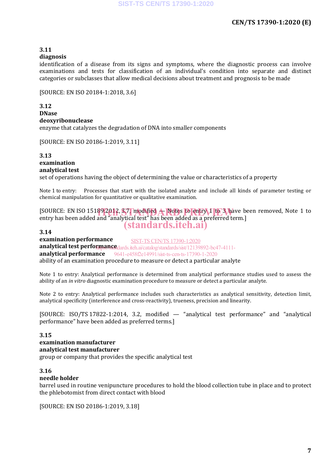#### **3.11**

#### **diagnosis**

identification of a disease from its signs and symptoms, where the diagnostic process can involve examinations and tests for classification of an individual's condition into separate and distinct categories or subclasses that allow medical decisions about treatment and prognosis to be made

[SOURCE: EN ISO 20184-1:2018, 3.6]

**3.12 DNase deoxyribonuclease** enzyme that catalyzes the degradation of DNA into smaller components

[SOURCE: EN ISO 20186-1:2019, 3.11]

#### **3.13 examination analytical test**

set of operations having the object of determining the value or characteristics of a property

Note 1 to entry: Processes that start with the isolated analyte and include all kinds of parameter testing or chemical manipulation for quantitative or qualitative examination.

[SOURCE: EN ISO 15189:2012,  $\frac{3}{7}$ , modified  $\frac{1}{2}$  Notes to entry 1 to 3 have been removed, Note 1 to entry has been added as a preferred term 1 entry has been added and "analytical test" has been added as a preferred term.] (standards.iteh.ai)

#### **3.14**

**examination performance analytical test performance** dards.iteh.ai/catalog/standards/sist/12139892-bc47-4111**analytical performance** ability of an examination procedure to measure or detect a particular analyte SIST-TS CEN/TS 17390-1:2020 9641-e458f2e14991/sist-ts-cen-ts-17390-1-2020

Note 1 to entry: Analytical performance is determined from analytical performance studies used to assess the ability of an *in vitro* diagnostic examination procedure to measure or detect a particular analyte.

Note 2 to entry: Analytical performance includes such characteristics as analytical sensitivity, detection limit, analytical specificity (interference and cross-reactivity), trueness, precision and linearity.

[SOURCE: ISO/TS 17822-1:2014, 3.2, modified — "analytical test performance" and "analytical performance" have been added as preferred terms.]

#### **3.15**

#### **examination manufacturer analytical test manufacturer** group or company that provides the specific analytical test

### **3.16**

#### **needle holder**

barrel used in routine venipuncture procedures to hold the blood collection tube in place and to protect the phlebotomist from direct contact with blood

[SOURCE: EN ISO 20186-1:2019, 3.18]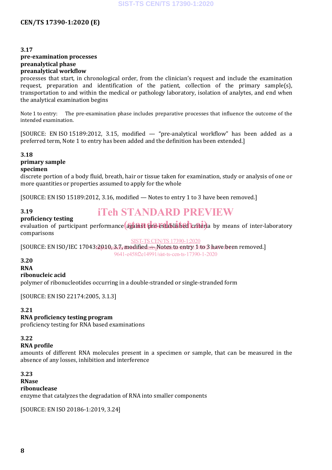#### **3.17 pre-examination processes preanalytical phase preanalytical workflow**

processes that start, in chronological order, from the clinician's request and include the examination request, preparation and identification of the patient, collection of the primary sample(s), transportation to and within the medical or pathology laboratory, isolation of analytes, and end when the analytical examination begins

Note 1 to entry: The pre-examination phase includes preparative processes that influence the outcome of the intended examination.

[SOURCE: EN ISO 15189:2012, 3.15, modified — "pre-analytical workflow" has been added as a preferred term, Note 1 to entry has been added and the definition has been extended.]

**3.18 primary sample**

#### **specimen**

discrete portion of a body fluid, breath, hair or tissue taken for examination, study or analysis of one or more quantities or properties assumed to apply for the whole

[SOURCE: EN ISO 15189:2012, 3.16, modified — Notes to entry 1 to 3 have been removed.]

#### **3.19**

# iTeh STANDARD PREVIEW

#### **proficiency testing**

pronciency testing<br>evaluation of participant performance against pre-established criteria by means of inter-laboratory comparisons

SIST-TS CEN/TS 17390-1:2020

[SOURCE: EN ISO/IEC 17043<u>:2010; 3.Z, modified a<del>lo</del> Notes to entry 19to 3</u> have been removed.]

9641-e458f2e14991/sist-ts-cen-ts-17390-1-2020

# **3.20**

**RNA ribonucleic acid**

polymer of ribonucleotides occurring in a double-stranded or single-stranded form

[SOURCE: EN ISO 22174:2005, 3.1.3]

#### **3.21**

#### **RNA proficiency testing program**

proficiency testing for RNA based examinations

#### **3.22**

#### **RNA profile**

amounts of different RNA molecules present in a specimen or sample, that can be measured in the absence of any losses, inhibition and interference

#### **3.23**

# **RNase**

**ribonuclease**

enzyme that catalyzes the degradation of RNA into smaller components

[SOURCE: EN ISO 20186-1:2019, 3.24]